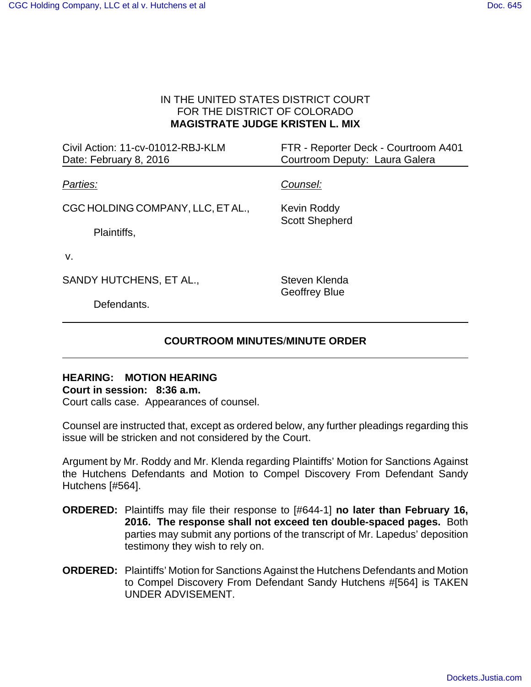## IN THE UNITED STATES DISTRICT COURT FOR THE DISTRICT OF COLORADO **MAGISTRATE JUDGE KRISTEN L. MIX**

Date: February 8, 2016 Courtroom Deputy: Laura Galera

Civil Action: 11-cv-01012-RBJ-KLM FTR - Reporter Deck - Courtroom A401

Parties: Counsel:

Kevin Roddy Scott Shepherd

CGC HOLDING COMPANY, LLC, ET AL.,

Plaintiffs,

v.

SANDY HUTCHENS, ET AL.,

Defendants.

Steven Klenda Geoffrey Blue

## **COURTROOM MINUTES**/**MINUTE ORDER**

## **HEARING: MOTION HEARING**

## **Court in session: 8:36 a.m.**

Court calls case. Appearances of counsel.

Counsel are instructed that, except as ordered below, any further pleadings regarding this issue will be stricken and not considered by the Court.

Argument by Mr. Roddy and Mr. Klenda regarding Plaintiffs' Motion for Sanctions Against the Hutchens Defendants and Motion to Compel Discovery From Defendant Sandy Hutchens [#564].

- **ORDERED:** Plaintiffs may file their response to [#644-1] **no later than February 16, 2016. The response shall not exceed ten double-spaced pages.** Both parties may submit any portions of the transcript of Mr. Lapedus' deposition testimony they wish to rely on.
- **ORDERED:** Plaintiffs' Motion for Sanctions Against the Hutchens Defendants and Motion to Compel Discovery From Defendant Sandy Hutchens #[564] is TAKEN UNDER ADVISEMENT.